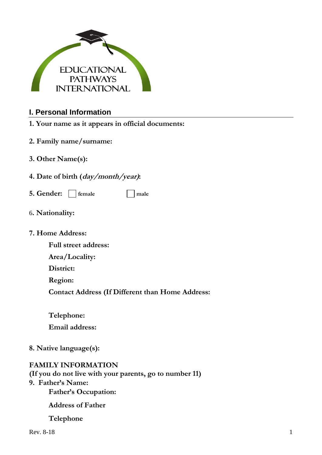

### **I. Personal Information**

- **1. Your name as it appears in official documents:**
- **2. Family name/surname:**
- **3. Other Name(s):**
- **4. Date of birth (day/month/year):**
- **5. Gender:**  $\Box$  female  $\Box$  male
- 6**. Nationality:**

#### **7. Home Address:**

- **Full street address:**
- **Area/Locality:**
- **District:**
- **Region:**
- **Contact Address (If Different than Home Address:**
- **Telephone: Email address:**
- **8. Native language(s):**

### **FAMILY INFORMATION**

**(If you do not live with your parents, go to number 11)**

# **9. Father's Name:**

**Father's Occupation:**

**Address of Father**

#### **Telephone**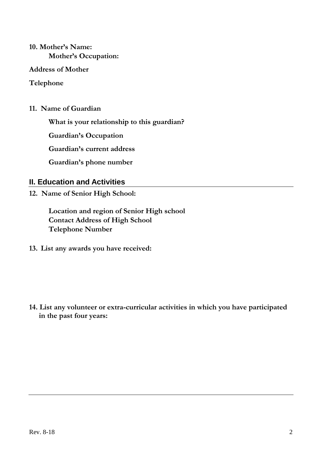# **10. Mother's Name: Mother's Occupation:**

#### **Address of Mother**

### **Telephone**

**11. Name of Guardian** 

**What is your relationship to this guardian?** 

**Guardian's Occupation** 

**Guardian's current address** 

**Guardian's phone number** 

### **II. Education and Activities**

**12. Name of Senior High School:** 

**Location and region of Senior High school Contact Address of High School Telephone Number** 

**13. List any awards you have received:** 

**14. List any volunteer or extra-curricular activities in which you have participated in the past four years:**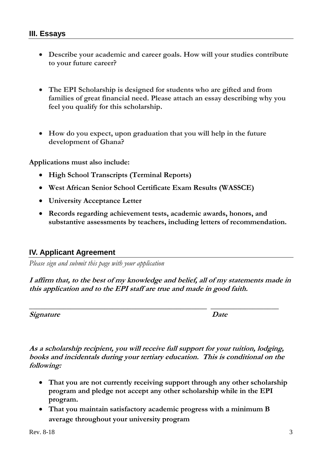## **III. Essays**

- **Describe your academic and career goals. How will your studies contribute to your future career?**
- **The EPI Scholarship is designed for students who are gifted and from families of great financial need. Please attach an essay describing why you feel you qualify for this scholarship.**
- **How do you expect, upon graduation that you will help in the future development of Ghana?**

**Applications must also include:**

- **High School Transcripts (Terminal Reports)**
- **West African Senior School Certificate Exam Results (WASSCE)**
- **University Acceptance Letter**
- **Records regarding achievement tests, academic awards, honors, and substantive assessments by teachers, including letters of recommendation.**

# **IV. Applicant Agreement**

*Please sign and submit this page with your application*

**I affirm that, to the best of my knowledge and belief, all of my statements made in this application and to the EPI staff are true and made in good faith.**

**\_\_\_\_\_\_\_\_\_\_\_\_\_\_\_\_\_\_\_\_\_\_\_\_\_\_\_\_\_\_\_\_\_\_\_\_\_\_\_\_\_\_\_\_\_\_\_ \_\_\_\_\_\_\_\_\_\_\_\_\_\_\_\_\_\_**

**Signature** Date

**As a scholarship recipient, you will receive full support for your tuition, lodging, books and incidentals during your tertiary education. This is conditional on the following:**

- **That you are not currently receiving support through any other scholarship program and pledge not accept any other scholarship while in the EPI program.**
- **That you maintain satisfactory academic progress with a minimum B average throughout your university program**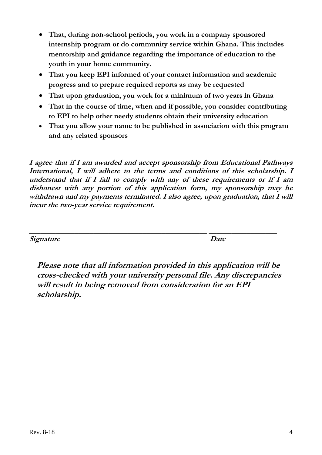- **That, during non-school periods, you work in a company sponsored internship program or do community service within Ghana. This includes mentorship and guidance regarding the importance of education to the youth in your home community.**
- **That you keep EPI informed of your contact information and academic progress and to prepare required reports as may be requested**
- **That upon graduation, you work for a minimum of two years in Ghana**
- **That in the course of time, when and if possible, you consider contributing to EPI to help other needy students obtain their university education**
- **That you allow your name to be published in association with this program and any related sponsors**

**I agree that if I am awarded and accept sponsorship from Educational Pathways International, I will adhere to the terms and conditions of this scholarship. I understand that if I fail to comply with any of these requirements or if I am dishonest with any portion of this application form, my sponsorship may be withdrawn and my payments terminated. I also agree, upon graduation, that I will incur the two-year service requirement.**

**Signature** Date

**Please note that all information provided in this application will be cross-checked with your university personal file. Any discrepancies will result in being removed from consideration for an EPI scholarship.**

**\_\_\_\_\_\_\_\_\_\_\_\_\_\_\_\_\_\_\_\_\_\_\_\_\_\_\_\_\_\_\_\_\_\_\_\_\_\_\_\_\_\_\_\_\_\_\_ \_\_\_\_\_\_\_\_\_\_\_\_\_\_\_\_\_\_**